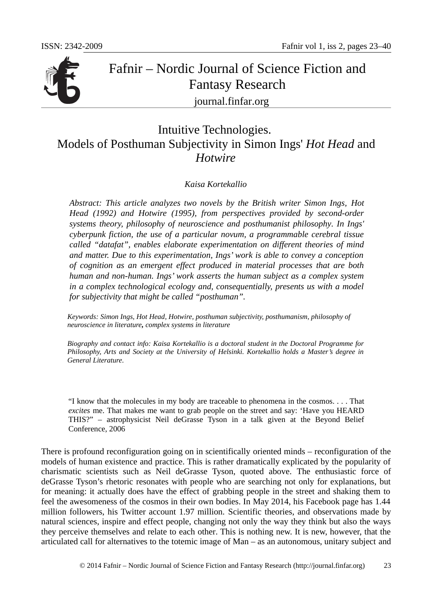

# Fafnir – Nordic Journal of Science Fiction and Fantasy Research journal.finfar.org

## Intuitive Technologies. Models of Posthuman Subjectivity in Simon Ings' *Hot Head* and *Hotwire*

#### *Kaisa Kortekallio*

*Abstract: This article analyzes two novels by the British writer Simon Ings, Hot Head (1992) and Hotwire (1995), from perspectives provided by second-order systems theory, philosophy of neuroscience and posthumanist philosophy. In Ings' cyberpunk fiction, the use of a particular novum, a programmable cerebral tissue called "datafat", enables elaborate experimentation on different theories of mind and matter. Due to this experimentation, Ings' work is able to convey a conception of cognition as an emergent effect produced in material processes that are both human and non-human. Ings' work asserts the human subject as a complex system in a complex technological ecology and, consequentially, presents us with a model for subjectivity that might be called "posthuman".*

*Keywords: Simon Ings, Hot Head, Hotwire, posthuman subjectivity, posthumanism, philosophy of neuroscience in literature, complex systems in literature*

*Biography and contact info: Kaisa Kortekallio is a doctoral student in the Doctoral Programme for Philosophy, Arts and Society at the University of Helsinki. Kortekallio holds a Master's degree in General Literature.*

"I know that the molecules in my body are traceable to phenomena in the cosmos. . . . That *excites* me. That makes me want to grab people on the street and say: 'Have you HEARD THIS?" – astrophysicist Neil deGrasse Tyson in a talk given at the Beyond Belief Conference, 2006

There is profound reconfiguration going on in scientifically oriented minds – reconfiguration of the models of human existence and practice. This is rather dramatically explicated by the popularity of charismatic scientists such as Neil deGrasse Tyson, quoted above. The enthusiastic force of deGrasse Tyson's rhetoric resonates with people who are searching not only for explanations, but for meaning: it actually does have the effect of grabbing people in the street and shaking them to feel the awesomeness of the cosmos in their own bodies. In May 2014, his Facebook page has 1.44 million followers, his Twitter account 1.97 million. Scientific theories, and observations made by natural sciences, inspire and effect people, changing not only the way they think but also the ways they perceive themselves and relate to each other. This is nothing new. It is new, however, that the articulated call for alternatives to the totemic image of Man – as an autonomous, unitary subject and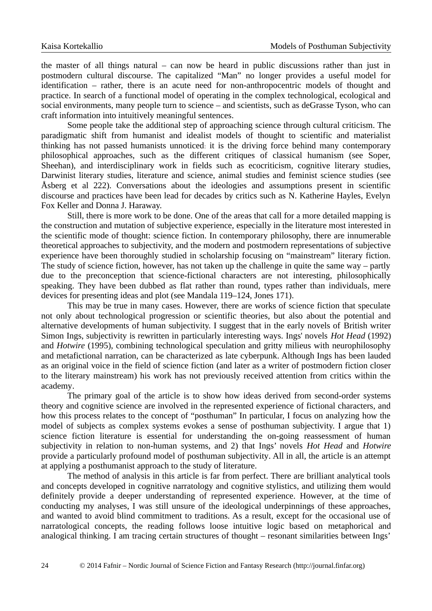the master of all things natural  $-$  can now be heard in public discussions rather than just in postmodern cultural discourse. The capitalized "Man" no longer provides a useful model for identification – rather, there is an acute need for non-anthropocentric models of thought and practice. In search of a functional model of operating in the complex technological, ecological and social environments, many people turn to science – and scientists, such as deGrasse Tyson, who can craft information into intuitively meaningful sentences.

Some people take the additional step of approaching science through cultural criticism. The paradigmatic shift from humanist and idealist models of thought to scientific and materialist thinking has not passed humanists unnoticed: it is the driving force behind many contemporary philosophical approaches, such as the different critiques of classical humanism (see Soper, Sheehan), and interdisciplinary work in fields such as ecocriticism, cognitive literary studies, Darwinist literary studies, literature and science, animal studies and feminist science studies (see Åsberg et al 222). Conversations about the ideologies and assumptions present in scientific discourse and practices have been lead for decades by critics such as N. Katherine Hayles, Evelyn Fox Keller and Donna J. Haraway.

Still, there is more work to be done. One of the areas that call for a more detailed mapping is the construction and mutation of subjective experience, especially in the literature most interested in the scientific mode of thought: science fiction. In contemporary philosophy, there are innumerable theoretical approaches to subjectivity, and the modern and postmodern representations of subjective experience have been thoroughly studied in scholarship focusing on "mainstream" literary fiction. The study of science fiction, however, has not taken up the challenge in quite the same way – partly due to the preconception that science-fictional characters are not interesting, philosophically speaking. They have been dubbed as flat rather than round, types rather than individuals, mere devices for presenting ideas and plot (see Mandala 119–124, Jones 171).

This may be true in many cases. However, there are works of science fiction that speculate not only about technological progression or scientific theories, but also about the potential and alternative developments of human subjectivity. I suggest that in the early novels of British writer Simon Ings, subjectivity is rewritten in particularly interesting ways. Ings' novels *Hot Head* (1992) and *Hotwire* (1995), combining technological speculation and gritty milieus with neurophilosophy and metafictional narration, can be characterized as late cyberpunk. Although Ings has been lauded as an original voice in the field of science fiction (and later as a writer of postmodern fiction closer to the literary mainstream) his work has not previously received attention from critics within the academy.

The primary goal of the article is to show how ideas derived from second-order systems theory and cognitive science are involved in the represented experience of fictional characters, and how this process relates to the concept of "posthuman" In particular, I focus on analyzing how the model of subjects as complex systems evokes a sense of posthuman subjectivity. I argue that 1) science fiction literature is essential for understanding the on-going reassessment of human subjectivity in relation to non-human systems, and 2) that Ings' novels *Hot Head* and *Hotwire* provide a particularly profound model of posthuman subjectivity. All in all, the article is an attempt at applying a posthumanist approach to the study of literature.

The method of analysis in this article is far from perfect. There are brilliant analytical tools and concepts developed in cognitive narratology and cognitive stylistics, and utilizing them would definitely provide a deeper understanding of represented experience. However, at the time of conducting my analyses, I was still unsure of the ideological underpinnings of these approaches, and wanted to avoid blind commitment to traditions. As a result, except for the occasional use of narratological concepts, the reading follows loose intuitive logic based on metaphorical and analogical thinking. I am tracing certain structures of thought – resonant similarities between Ings'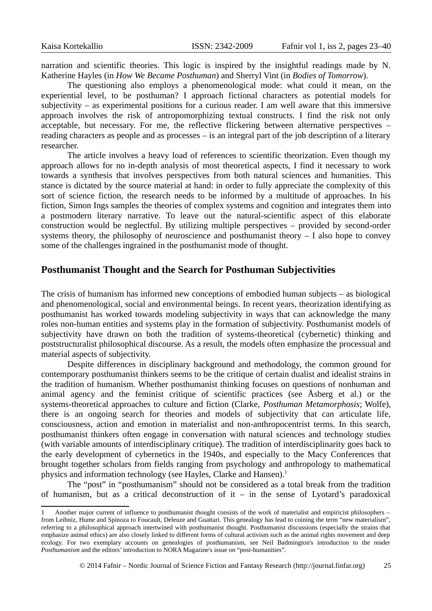narration and scientific theories. This logic is inspired by the insightful readings made by N. Katherine Hayles (in *How We Became Posthuman*) and Sherryl Vint (in *Bodies of Tomorrow*).

The questioning also employs a phenomenological mode: what could it mean, on the experiential level, to be posthuman? I approach fictional characters as potential models for subjectivity – as experimental positions for a curious reader. I am well aware that this immersive approach involves the risk of antropomorphizing textual constructs. I find the risk not only acceptable, but necessary. For me, the reflective flickering between alternative perspectives  $$ reading characters as people and as processes – is an integral part of the job description of a literary researcher.

The article involves a heavy load of references to scientific theorization. Even though my approach allows for no in-depth analysis of most theoretical aspects, I find it necessary to work towards a synthesis that involves perspectives from both natural sciences and humanities. This stance is dictated by the source material at hand: in order to fully appreciate the complexity of this sort of science fiction, the research needs to be informed by a multitude of approaches. In his fiction, Simon Ings samples the theories of complex systems and cognition and integrates them into a postmodern literary narrative. To leave out the natural-scientific aspect of this elaborate construction would be neglectful. By utilizing multiple perspectives – provided by second-order systems theory, the philosophy of neuroscience and posthumanist theory  $-1$  also hope to convey some of the challenges ingrained in the posthumanist mode of thought.

#### **Posthumanist Thought and the Search for Posthuman Subjectivities**

The crisis of humanism has informed new conceptions of embodied human subjects – as biological and phenomenological, social and environmental beings. In recent years, theorization identifying as posthumanist has worked towards modeling subjectivity in ways that can acknowledge the many roles non-human entities and systems play in the formation of subjectivity. Posthumanist models of subjectivity have drawn on both the tradition of systems-theoretical (cybernetic) thinking and poststructuralist philosophical discourse. As a result, the models often emphasize the processual and material aspects of subjectivity.

Despite differences in disciplinary background and methodology, the common ground for contemporary posthumanist thinkers seems to be the critique of certain dualist and idealist strains in the tradition of humanism. Whether posthumanist thinking focuses on questions of nonhuman and animal agency and the feminist critique of scientific practices (see Åsberg et al.) or the systems-theoretical approaches to culture and fiction (Clarke, *Posthuman Metamorphosis*; Wolfe), there is an ongoing search for theories and models of subjectivity that can articulate life, consciousness, action and emotion in materialist and non-anthropocentrist terms. In this search, posthumanist thinkers often engage in conversation with natural sciences and technology studies (with variable amounts of interdisciplinary critique). The tradition of interdisciplinarity goes back to the early development of cybernetics in the 1940s, and especially to the Macy Conferences that brought together scholars from fields ranging from psychology and anthropology to mathematical physics and information technology (see Hayles, Clarke and Hansen).<sup>[1](#page-2-0)</sup>

The "post" in "posthumanism" should not be considered as a total break from the tradition of humanism, but as a critical deconstruction of it – in the sense of Lyotard's paradoxical

<span id="page-2-0"></span><sup>1</sup> Another major current of influence to posthumanist thought consists of the work of materialist and empiricist philosophers – from Leibniz, Hume and Spinoza to Foucault, Deleuze and Guattari. This genealogy has lead to coining the term "new materialism", referring to a philosophical approach intertwined with posthumanist thought. Posthumanist discussions (especially the strains that emphasize animal ethics) are also closely linked to different forms of cultural activism such as the animal rights movement and deep ecology. For two exemplary accounts on genealogies of posthumanism, see Neil Badmington's introduction to the reader *Posthumanism* and the editors' introduction to NORA Magazine's issue on "post-humanities".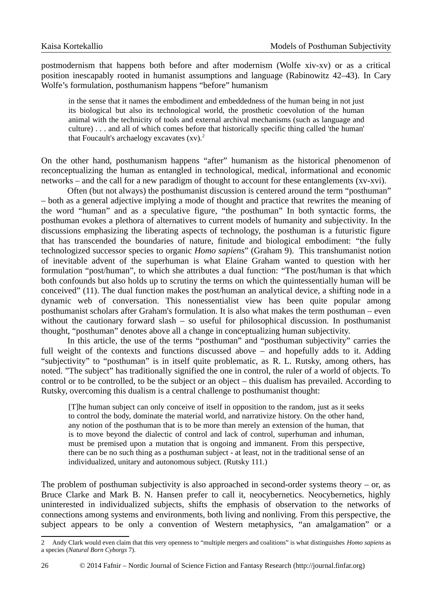postmodernism that happens both before and after modernism (Wolfe xiv-xv) or as a critical position inescapably rooted in humanist assumptions and language (Rabinowitz 42–43). In Cary Wolfe's formulation, posthumanism happens "before" humanism

in the sense that it names the embodiment and embeddedness of the human being in not just its biological but also its technological world, the prosthetic coevolution of the human animal with the technicity of tools and external archival mechanisms (such as language and culture) . . . and all of which comes before that historically specific thing called 'the human' that Foucault's archaelogy excavates  $(xv)^2$  $(xv)^2$ .

On the other hand, posthumanism happens "after" humanism as the historical phenomenon of reconceptualizing the human as entangled in technological, medical, informational and economic networks – and the call for a new paradigm of thought to account for these entanglements (xv-xvi).

Often (but not always) the posthumanist discussion is centered around the term "posthuman" – both as a general adjective implying a mode of thought and practice that rewrites the meaning of the word "human" and as a speculative figure, "the posthuman" In both syntactic forms, the posthuman evokes a plethora of alternatives to current models of humanity and subjectivity. In the discussions emphasizing the liberating aspects of technology, the posthuman is a futuristic figure that has transcended the boundaries of nature, finitude and biological embodiment: "the fully technologized successor species to organic *Homo sapiens*" (Graham 9). This transhumanist notion of inevitable advent of the superhuman is what Elaine Graham wanted to question with her formulation "post/human", to which she attributes a dual function: "The post/human is that which both confounds but also holds up to scrutiny the terms on which the quintessentially human will be conceived" (11). The dual function makes the post/human an analytical device, a shifting node in a dynamic web of conversation. This nonessentialist view has been quite popular among posthumanist scholars after Graham's formulation. It is also what makes the term posthuman – even without the cautionary forward slash – so useful for philosophical discussion. In posthumanist thought, "posthuman" denotes above all a change in conceptualizing human subjectivity.

In this article, the use of the terms "posthuman" and "posthuman subjectivity" carries the full weight of the contexts and functions discussed above – and hopefully adds to it. Adding "subjectivity" to "posthuman" is in itself quite problematic, as R. L. Rutsky, among others, has noted. "The subject" has traditionally signified the one in control, the ruler of a world of objects. To control or to be controlled, to be the subject or an object – this dualism has prevailed. According to Rutsky, overcoming this dualism is a central challenge to posthumanist thought:

[T]he human subject can only conceive of itself in opposition to the random, just as it seeks to control the body, dominate the material world, and narrativize history. On the other hand, any notion of the posthuman that is to be more than merely an extension of the human, that is to move beyond the dialectic of control and lack of control, superhuman and inhuman, must be premised upon a mutation that is ongoing and immanent. From this perspective, there can be no such thing as a posthuman subject - at least, not in the traditional sense of an individualized, unitary and autonomous subject. (Rutsky 111.)

The problem of posthuman subjectivity is also approached in second-order systems theory  $-$  or, as Bruce Clarke and Mark B. N. Hansen prefer to call it, neocybernetics. Neocybernetics, highly uninterested in individualized subjects, shifts the emphasis of observation to the networks of connections among systems and environments, both living and nonliving. From this perspective, the subject appears to be only a convention of Western metaphysics, "an amalgamation" or a

<span id="page-3-0"></span><sup>2</sup> Andy Clark would even claim that this very openness to "multiple mergers and coalitions" is what distinguishes *Homo sapiens* as a species (*Natural Born Cyborgs* 7).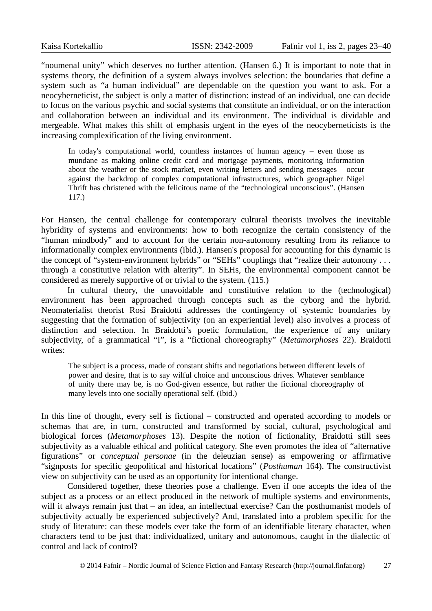"noumenal unity" which deserves no further attention. (Hansen 6.) It is important to note that in systems theory, the definition of a system always involves selection: the boundaries that define a system such as "a human individual" are dependable on the question you want to ask. For a neocyberneticist, the subject is only a matter of distinction: instead of an individual, one can decide to focus on the various psychic and social systems that constitute an individual, or on the interaction and collaboration between an individual and its environment. The individual is dividable and mergeable. What makes this shift of emphasis urgent in the eyes of the neocyberneticists is the increasing complexification of the living environment.

In today's computational world, countless instances of human agency  $-$  even those as mundane as making online credit card and mortgage payments, monitoring information about the weather or the stock market, even writing letters and sending messages – occur against the backdrop of complex computational infrastructures, which geographer Nigel Thrift has christened with the felicitous name of the "technological unconscious". (Hansen 117.)

For Hansen, the central challenge for contemporary cultural theorists involves the inevitable hybridity of systems and environments: how to both recognize the certain consistency of the "human mindbody" and to account for the certain non-autonomy resulting from its reliance to informationally complex environments (ibid.). Hansen's proposal for accounting for this dynamic is the concept of "system-environment hybrids" or "SEHs" couplings that "realize their autonomy . . . through a constitutive relation with alterity". In SEHs, the environmental component cannot be considered as merely supportive of or trivial to the system. (115.)

In cultural theory, the unavoidable and constitutive relation to the (technological) environment has been approached through concepts such as the cyborg and the hybrid. Neomaterialist theorist Rosi Braidotti addresses the contingency of systemic boundaries by suggesting that the formation of subjectivity (on an experiential level) also involves a process of distinction and selection. In Braidotti's poetic formulation, the experience of any unitary subjectivity, of a grammatical "I", is a "fictional choreography" (*Metamorphoses* 22). Braidotti writes:

The subject is a process, made of constant shifts and negotiations between different levels of power and desire, that is to say wilful choice and unconscious drives. Whatever semblance of unity there may be, is no God-given essence, but rather the fictional choreography of many levels into one socially operational self. (Ibid.)

In this line of thought, every self is fictional – constructed and operated according to models or schemas that are, in turn, constructed and transformed by social, cultural, psychological and biological forces (*Metamorphoses* 13). Despite the notion of fictionality, Braidotti still sees subjectivity as a valuable ethical and political category. She even promotes the idea of "alternative figurations" or *conceptual personae* (in the deleuzian sense) as empowering or affirmative "signposts for specific geopolitical and historical locations" (*Posthuman* 164). The constructivist view on subjectivity can be used as an opportunity for intentional change.

Considered together, these theories pose a challenge. Even if one accepts the idea of the subject as a process or an effect produced in the network of multiple systems and environments, will it always remain just that – an idea, an intellectual exercise? Can the posthumanist models of subjectivity actually be experienced subjectively? And, translated into a problem specific for the study of literature: can these models ever take the form of an identifiable literary character, when characters tend to be just that: individualized, unitary and autonomous, caught in the dialectic of control and lack of control?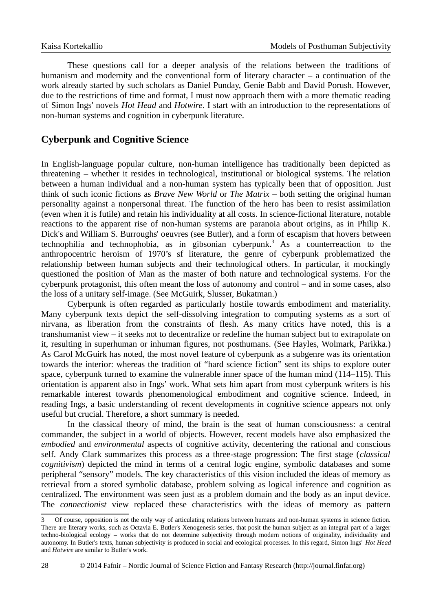These questions call for a deeper analysis of the relations between the traditions of humanism and modernity and the conventional form of literary character – a continuation of the work already started by such scholars as Daniel Punday, Genie Babb and David Porush. However, due to the restrictions of time and format, I must now approach them with a more thematic reading of Simon Ings' novels *Hot Head* and *Hotwire*. I start with an introduction to the representations of non-human systems and cognition in cyberpunk literature.

## **Cyberpunk and Cognitive Science**

In English-language popular culture, non-human intelligence has traditionally been depicted as threatening – whether it resides in technological, institutional or biological systems. The relation between a human individual and a non-human system has typically been that of opposition. Just think of such iconic fictions as *Brave New World* or *The Matrix* – both setting the original human personality against a nonpersonal threat. The function of the hero has been to resist assimilation (even when it is futile) and retain his individuality at all costs. In science-fictional literature, notable reactions to the apparent rise of non-human systems are paranoia about origins, as in Philip K. Dick's and William S. Burroughs' oeuvres (see Butler), and a form of escapism that hovers between technophilia and technophobia, as in gibsonian cyberpunk. [3](#page-5-0) As a counterreaction to the anthropocentric heroism of 1970's sf literature, the genre of cyberpunk problematized the relationship between human subjects and their technological others. In particular, it mockingly questioned the position of Man as the master of both nature and technological systems. For the cyberpunk protagonist, this often meant the loss of autonomy and control – and in some cases, also the loss of a unitary self-image. (See McGuirk, Slusser, Bukatman.)

Cyberpunk is often regarded as particularly hostile towards embodiment and materiality. Many cyberpunk texts depict the self-dissolving integration to computing systems as a sort of nirvana, as liberation from the constraints of flesh. As many critics have noted, this is a transhumanist view – it seeks not to decentralize or redefine the human subject but to extrapolate on it, resulting in superhuman or inhuman figures, not posthumans. (See Hayles, Wolmark, Parikka.) As Carol McGuirk has noted, the most novel feature of cyberpunk as a subgenre was its orientation towards the interior: whereas the tradition of "hard science fiction" sent its ships to explore outer space, cyberpunk turned to examine the vulnerable inner space of the human mind (114–115). This orientation is apparent also in Ings' work. What sets him apart from most cyberpunk writers is his remarkable interest towards phenomenological embodiment and cognitive science. Indeed, in reading Ings, a basic understanding of recent developments in cognitive science appears not only useful but crucial. Therefore, a short summary is needed.

In the classical theory of mind, the brain is the seat of human consciousness: a central commander, the subject in a world of objects. However, recent models have also emphasized the *embodied* and *environmental* aspects of cognitive activity, decentering the rational and conscious self. Andy Clark summarizes this process as a three-stage progression: The first stage (*classical cognitivism*) depicted the mind in terms of a central logic engine, symbolic databases and some peripheral "sensory" models. The key characteristics of this vision included the ideas of memory as retrieval from a stored symbolic database, problem solving as logical inference and cognition as centralized. The environment was seen just as a problem domain and the body as an input device. The *connectionist* view replaced these characteristics with the ideas of memory as pattern

<span id="page-5-0"></span><sup>3</sup> Of course, opposition is not the only way of articulating relations between humans and non-human systems in science fiction. There are literary works, such as Octavia E. Butler's Xenogenesis series, that posit the human subject as an integral part of a larger techno-biological ecology – works that do not determine subjectivity through modern notions of originality, individuality and autonomy. In Butler's texts, human subjectivity is produced in social and ecological processes. In this regard, Simon Ings' *Hot Head* and *Hotwire* are similar to Butler's work.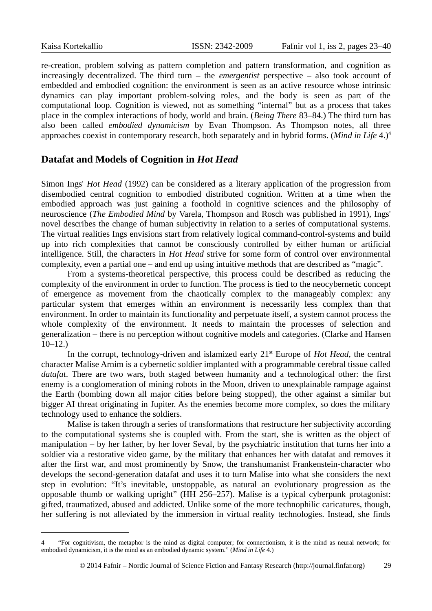re-creation, problem solving as pattern completion and pattern transformation, and cognition as increasingly decentralized. The third turn – the *emergentist* perspective – also took account of embedded and embodied cognition: the environment is seen as an active resource whose intrinsic dynamics can play important problem-solving roles, and the body is seen as part of the computational loop. Cognition is viewed, not as something "internal" but as a process that takes place in the complex interactions of body, world and brain. (*Being There* 83–84.) The third turn has also been called *embodied dynamicism* by Evan Thompson. As Thompson notes, all three approaches coexist in contemporary research, both separately and in hybrid forms. (*Mind in Life* 4.)[4](#page-6-0)

#### **Datafat and Models of Cognition in** *Hot Head*

Simon Ings' *Hot Head* (1992) can be considered as a literary application of the progression from disembodied central cognition to embodied distributed cognition. Written at a time when the embodied approach was just gaining a foothold in cognitive sciences and the philosophy of neuroscience (*The Embodied Mind* by Varela, Thompson and Rosch was published in 1991), Ings' novel describes the change of human subjectivity in relation to a series of computational systems. The virtual realities Ings envisions start from relatively logical command-control-systems and build up into rich complexities that cannot be consciously controlled by either human or artificial intelligence. Still, the characters in *Hot Head* strive for some form of control over environmental complexity, even a partial one – and end up using intuitive methods that are described as "magic".

From a systems-theoretical perspective, this process could be described as reducing the complexity of the environment in order to function. The process is tied to the neocybernetic concept of emergence as movement from the chaotically complex to the manageably complex: any particular system that emerges within an environment is necessarily less complex than that environment. In order to maintain its functionality and perpetuate itself, a system cannot process the whole complexity of the environment. It needs to maintain the processes of selection and generalization – there is no perception without cognitive models and categories. (Clarke and Hansen 10–12.)

In the corrupt, technology-driven and islamized early 21<sup>st</sup> Europe of *Hot Head*, the central character Malise Arnim is a cybernetic soldier implanted with a programmable cerebral tissue called *datafat*. There are two wars, both staged between humanity and a technological other: the first enemy is a conglomeration of mining robots in the Moon, driven to unexplainable rampage against the Earth (bombing down all major cities before being stopped), the other against a similar but bigger AI threat originating in Jupiter. As the enemies become more complex, so does the military technology used to enhance the soldiers.

Malise is taken through a series of transformations that restructure her subjectivity according to the computational systems she is coupled with. From the start, she is written as the object of manipulation – by her father, by her lover Seval, by the psychiatric institution that turns her into a soldier via a restorative video game, by the military that enhances her with datafat and removes it after the first war, and most prominently by Snow, the transhumanist Frankenstein-character who develops the second-generation datafat and uses it to turn Malise into what she considers the next step in evolution: "It's inevitable, unstoppable, as natural an evolutionary progression as the opposable thumb or walking upright" (HH 256–257). Malise is a typical cyberpunk protagonist: gifted, traumatized, abused and addicted. Unlike some of the more technophilic caricatures, though, her suffering is not alleviated by the immersion in virtual reality technologies. Instead, she finds

<span id="page-6-0"></span><sup>4 &</sup>quot;For cognitivism, the metaphor is the mind as digital computer; for connectionism, it is the mind as neural network; for embodied dynamicism, it is the mind as an embodied dynamic system." (*Mind in Life* 4.)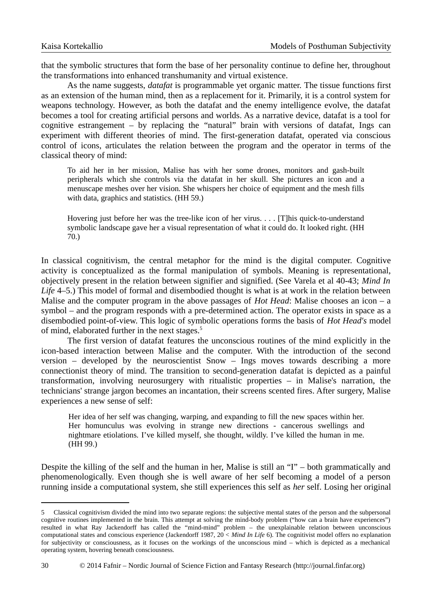that the symbolic structures that form the base of her personality continue to define her, throughout the transformations into enhanced transhumanity and virtual existence.

As the name suggests, *datafat* is programmable yet organic matter. The tissue functions first as an extension of the human mind, then as a replacement for it. Primarily, it is a control system for weapons technology. However, as both the datafat and the enemy intelligence evolve, the datafat becomes a tool for creating artificial persons and worlds. As a narrative device, datafat is a tool for cognitive estrangement – by replacing the "natural" brain with versions of datafat, Ings can experiment with different theories of mind. The first-generation datafat, operated via conscious control of icons, articulates the relation between the program and the operator in terms of the classical theory of mind:

To aid her in her mission, Malise has with her some drones, monitors and gash-built peripherals which she controls via the datafat in her skull. She pictures an icon and a menuscape meshes over her vision. She whispers her choice of equipment and the mesh fills with data, graphics and statistics. (HH 59.)

Hovering just before her was the tree-like icon of her virus. . . . [T]his quick-to-understand symbolic landscape gave her a visual representation of what it could do. It looked right. (HH 70.)

In classical cognitivism, the central metaphor for the mind is the digital computer. Cognitive activity is conceptualized as the formal manipulation of symbols. Meaning is representational, objectively present in the relation between signifier and signified. (See Varela et al 40-43; *Mind In Life* 4–5.) This model of formal and disembodied thought is what is at work in the relation between Malise and the computer program in the above passages of *Hot Head*: Malise chooses an icon – a symbol – and the program responds with a pre-determined action. The operator exists in space as a disembodied point-of-view. This logic of symbolic operations forms the basis of *Hot Head's* model of mind, elaborated further in the next stages.<sup>[5](#page-7-0)</sup>

The first version of datafat features the unconscious routines of the mind explicitly in the icon-based interaction between Malise and the computer. With the introduction of the second version – developed by the neuroscientist Snow – Ings moves towards describing a more connectionist theory of mind. The transition to second-generation datafat is depicted as a painful transformation, involving neurosurgery with ritualistic properties – in Malise's narration, the technicians' strange jargon becomes an incantation, their screens scented fires. After surgery, Malise experiences a new sense of self:

Her idea of her self was changing, warping, and expanding to fill the new spaces within her. Her homunculus was evolving in strange new directions - cancerous swellings and nightmare etiolations. I've killed myself, she thought, wildly. I've killed the human in me. (HH 99.)

Despite the killing of the self and the human in her, Malise is still an "I" – both grammatically and phenomenologically. Even though she is well aware of her self becoming a model of a person running inside a computational system, she still experiences this self as *her* self. Losing her original

<span id="page-7-0"></span><sup>5</sup> Classical cognitivism divided the mind into two separate regions: the subjective mental states of the person and the subpersonal cognitive routines implemented in the brain. This attempt at solving the mind-body problem ("how can a brain have experiences") resulted in what Ray Jackendorff has called the "mind-mind" problem – the unexplainable relation between unconscious computational states and conscious experience (Jackendorff 1987, 20 < *Mind In Life* 6). The cognitivist model offers no explanation for subjectivity or consciousness, as it focuses on the workings of the unconscious mind – which is depicted as a mechanical operating system, hovering beneath consciousness.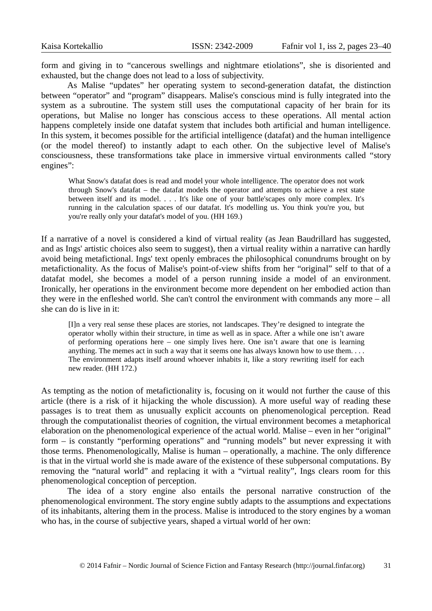form and giving in to "cancerous swellings and nightmare etiolations", she is disoriented and exhausted, but the change does not lead to a loss of subjectivity.

As Malise "updates" her operating system to second-generation datafat, the distinction between "operator" and "program" disappears. Malise's conscious mind is fully integrated into the system as a subroutine. The system still uses the computational capacity of her brain for its operations, but Malise no longer has conscious access to these operations. All mental action happens completely inside one datafat system that includes both artificial and human intelligence. In this system, it becomes possible for the artificial intelligence (datafat) and the human intelligence (or the model thereof) to instantly adapt to each other. On the subjective level of Malise's consciousness, these transformations take place in immersive virtual environments called "story engines":

What Snow's datafat does is read and model your whole intelligence. The operator does not work through Snow's datafat – the datafat models the operator and attempts to achieve a rest state between itself and its model. . . . It's like one of your battle'scapes only more complex. It's running in the calculation spaces of our datafat. It's modelling us. You think you're you, but you're really only your datafat's model of you. (HH 169.)

If a narrative of a novel is considered a kind of virtual reality (as Jean Baudrillard has suggested, and as Ings' artistic choices also seem to suggest), then a virtual reality within a narrative can hardly avoid being metafictional. Ings' text openly embraces the philosophical conundrums brought on by metafictionality. As the focus of Malise's point-of-view shifts from her "original" self to that of a datafat model, she becomes a model of a person running inside a model of an environment. Ironically, her operations in the environment become more dependent on her embodied action than they were in the enfleshed world. She can't control the environment with commands any more – all she can do is live in it:

[I]n a very real sense these places are stories, not landscapes. They're designed to integrate the operator wholly within their structure, in time as well as in space. After a while one isn't aware of performing operations here – one simply lives here. One isn't aware that one is learning anything. The memes act in such a way that it seems one has always known how to use them. . . . The environment adapts itself around whoever inhabits it, like a story rewriting itself for each new reader. (HH 172.)

As tempting as the notion of metafictionality is, focusing on it would not further the cause of this article (there is a risk of it hijacking the whole discussion). A more useful way of reading these passages is to treat them as unusually explicit accounts on phenomenological perception. Read through the computationalist theories of cognition, the virtual environment becomes a metaphorical elaboration on the phenomenological experience of the actual world. Malise – even in her "original" form – is constantly "performing operations" and "running models" but never expressing it with those terms. Phenomenologically, Malise is human – operationally, a machine. The only difference is that in the virtual world she is made aware of the existence of these subpersonal computations. By removing the "natural world" and replacing it with a "virtual reality", Ings clears room for this phenomenological conception of perception.

The idea of a story engine also entails the personal narrative construction of the phenomenological environment. The story engine subtly adapts to the assumptions and expectations of its inhabitants, altering them in the process. Malise is introduced to the story engines by a woman who has, in the course of subjective years, shaped a virtual world of her own: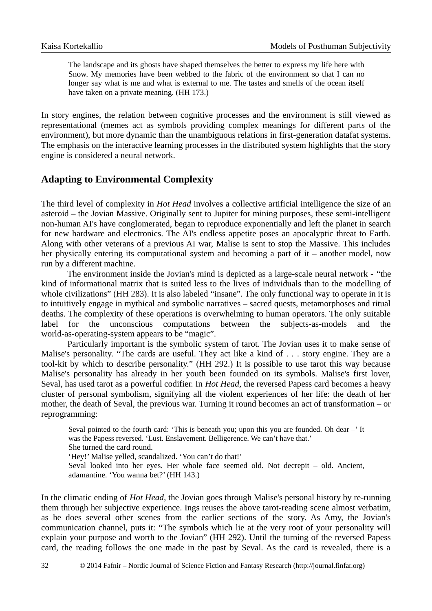The landscape and its ghosts have shaped themselves the better to express my life here with Snow. My memories have been webbed to the fabric of the environment so that I can no longer say what is me and what is external to me. The tastes and smells of the ocean itself have taken on a private meaning. (HH 173.)

In story engines, the relation between cognitive processes and the environment is still viewed as representational (memes act as symbols providing complex meanings for different parts of the environment), but more dynamic than the unambiguous relations in first-generation datafat systems. The emphasis on the interactive learning processes in the distributed system highlights that the story engine is considered a neural network.

### **Adapting to Environmental Complexity**

The third level of complexity in *Hot Head* involves a collective artificial intelligence the size of an asteroid – the Jovian Massive. Originally sent to Jupiter for mining purposes, these semi-intelligent non-human AI's have conglomerated, began to reproduce exponentially and left the planet in search for new hardware and electronics. The AI's endless appetite poses an apocalyptic threat to Earth. Along with other veterans of a previous AI war, Malise is sent to stop the Massive. This includes her physically entering its computational system and becoming a part of it – another model, now run by a different machine.

The environment inside the Jovian's mind is depicted as a large-scale neural network - "the kind of informational matrix that is suited less to the lives of individuals than to the modelling of whole civilizations" (HH 283). It is also labeled "insane". The only functional way to operate in it is to intuitively engage in mythical and symbolic narratives – sacred quests, metamorphoses and ritual deaths. The complexity of these operations is overwhelming to human operators. The only suitable label for the unconscious computations between the subjects-as-models and the world-as-operating-system appears to be "magic".

Particularly important is the symbolic system of tarot. The Jovian uses it to make sense of Malise's personality. "The cards are useful. They act like a kind of . . . story engine. They are a tool-kit by which to describe personality." (HH 292.) It is possible to use tarot this way because Malise's personality has already in her youth been founded on its symbols. Malise's first lover, Seval, has used tarot as a powerful codifier. In *Hot Head,* the reversed Papess card becomes a heavy cluster of personal symbolism, signifying all the violent experiences of her life: the death of her mother, the death of Seval, the previous war. Turning it round becomes an act of transformation – or reprogramming:

Seval pointed to the fourth card: 'This is beneath you; upon this you are founded. Oh dear -' It was the Papess reversed. 'Lust. Enslavement. Belligerence. We can't have that.' She turned the card round. 'Hey!' Malise yelled, scandalized. 'You can't do that!' Seval looked into her eyes. Her whole face seemed old. Not decrepit – old. Ancient, adamantine. 'You wanna bet?' (HH 143.)

In the climatic ending of *Hot Head,* the Jovian goes through Malise's personal history by re-running them through her subjective experience. Ings reuses the above tarot-reading scene almost verbatim, as he does several other scenes from the earlier sections of the story. As Amy, the Jovian's communication channel, puts it: "The symbols which lie at the very root of your personality will explain your purpose and worth to the Jovian" (HH 292). Until the turning of the reversed Papess card, the reading follows the one made in the past by Seval. As the card is revealed, there is a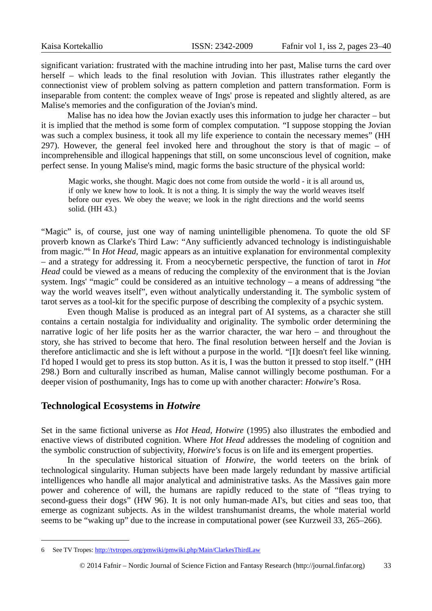significant variation: frustrated with the machine intruding into her past, Malise turns the card over herself – which leads to the final resolution with Jovian. This illustrates rather elegantly the connectionist view of problem solving as pattern completion and pattern transformation. Form is inseparable from content: the complex weave of Ings' prose is repeated and slightly altered, as are Malise's memories and the configuration of the Jovian's mind.

Malise has no idea how the Jovian exactly uses this information to judge her character – but it is implied that the method is some form of complex computation. "I suppose stopping the Jovian was such a complex business, it took all my life experience to contain the necessary memes" (HH 297). However, the general feel invoked here and throughout the story is that of magic  $-$  of incomprehensible and illogical happenings that still, on some unconscious level of cognition, make perfect sense. In young Malise's mind, magic forms the basic structure of the physical world:

Magic works, she thought. Magic does not come from outside the world - it is all around us, if only we knew how to look. It is not a thing. It is simply the way the world weaves itself before our eyes. We obey the weave; we look in the right directions and the world seems solid. (HH 43.)

"Magic" is, of course, just one way of naming unintelligible phenomena. To quote the old SF proverb known as Clarke's Third Law: "Any sufficiently advanced technology is indistinguishable from magic."[6](#page-10-0) In *Hot Head,* magic appears as an intuitive explanation for environmental complexity – and a strategy for addressing it. From a neocybernetic perspective, the function of tarot in *Hot Head* could be viewed as a means of reducing the complexity of the environment that is the Jovian system. Ings' "magic" could be considered as an intuitive technology – a means of addressing "the way the world weaves itself", even without analytically understanding it. The symbolic system of tarot serves as a tool-kit for the specific purpose of describing the complexity of a psychic system.

Even though Malise is produced as an integral part of AI systems, as a character she still contains a certain nostalgia for individuality and originality. The symbolic order determining the narrative logic of her life posits her as the warrior character, the war hero – and throughout the story, she has strived to become that hero. The final resolution between herself and the Jovian is therefore anticlimactic and she is left without a purpose in the world. "[I]t doesn't feel like winning. I'd hoped I would get to press its stop button. As it is, I was the button it pressed to stop itself." (HH 298.) Born and culturally inscribed as human, Malise cannot willingly become posthuman. For a deeper vision of posthumanity, Ings has to come up with another character: *Hotwire*'s Rosa.

#### **Technological Ecosystems in** *Hotwire*

Set in the same fictional universe as *Hot Head, Hotwire* (1995) also illustrates the embodied and enactive views of distributed cognition. Where *Hot Head* addresses the modeling of cognition and the symbolic construction of subjectivity, *Hotwire's* focus is on life and its emergent properties.

In the speculative historical situation of *Hotwire*, the world teeters on the brink of technological singularity. Human subjects have been made largely redundant by massive artificial intelligences who handle all major analytical and administrative tasks. As the Massives gain more power and coherence of will, the humans are rapidly reduced to the state of "fleas trying to second-guess their dogs" (HW 96). It is not only human-made AI's, but cities and seas too, that emerge as cognizant subjects. As in the wildest transhumanist dreams, the whole material world seems to be "waking up" due to the increase in computational power (see Kurzweil 33, 265–266).

<span id="page-10-0"></span><sup>6</sup> See TV Tropes: http://tvtropes.org/pmwiki/pmwiki.php/Main/ClarkesThirdLaw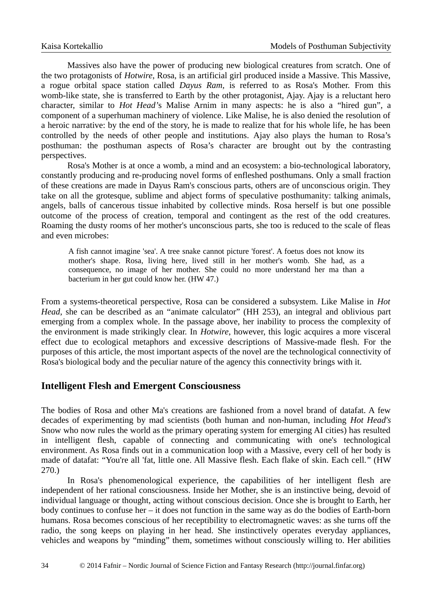Massives also have the power of producing new biological creatures from scratch. One of the two protagonists of *Hotwire*, Rosa, is an artificial girl produced inside a Massive. This Massive, a rogue orbital space station called *Dayus Ram,* is referred to as Rosa's Mother. From this womb-like state, she is transferred to Earth by the other protagonist, Ajay. Ajay is a reluctant hero character, similar to *Hot Head'*s Malise Arnim in many aspects: he is also a "hired gun", a component of a superhuman machinery of violence. Like Malise, he is also denied the resolution of a heroic narrative: by the end of the story, he is made to realize that for his whole life, he has been controlled by the needs of other people and institutions. Ajay also plays the human to Rosa's posthuman: the posthuman aspects of Rosa's character are brought out by the contrasting perspectives.

Rosa's Mother is at once a womb, a mind and an ecosystem: a bio-technological laboratory, constantly producing and re-producing novel forms of enfleshed posthumans. Only a small fraction of these creations are made in Dayus Ram's conscious parts, others are of unconscious origin. They take on all the grotesque, sublime and abject forms of speculative posthumanity: talking animals, angels, balls of cancerous tissue inhabited by collective minds. Rosa herself is but one possible outcome of the process of creation, temporal and contingent as the rest of the odd creatures. Roaming the dusty rooms of her mother's unconscious parts, she too is reduced to the scale of fleas and even microbes:

A fish cannot imagine 'sea'. A tree snake cannot picture 'forest'. A foetus does not know its mother's shape. Rosa, living here, lived still in her mother's womb. She had, as a consequence, no image of her mother. She could no more understand her ma than a bacterium in her gut could know her. (HW 47.)

From a systems-theoretical perspective, Rosa can be considered a subsystem. Like Malise in *Hot Head*, she can be described as an "animate calculator" (HH 253), an integral and oblivious part emerging from a complex whole. In the passage above, her inability to process the complexity of the environment is made strikingly clear. In *Hotwire*, however, this logic acquires a more visceral effect due to ecological metaphors and excessive descriptions of Massive-made flesh. For the purposes of this article, the most important aspects of the novel are the technological connectivity of Rosa's biological body and the peculiar nature of the agency this connectivity brings with it.

#### **Intelligent Flesh and Emergent Consciousness**

The bodies of Rosa and other Ma's creations are fashioned from a novel brand of datafat. A few decades of experimenting by mad scientists (both human and non-human, including *Hot Head's* Snow who now rules the world as the primary operating system for emerging AI cities) has resulted in intelligent flesh, capable of connecting and communicating with one's technological environment. As Rosa finds out in a communication loop with a Massive, every cell of her body is made of datafat: "You're all 'fat, little one. All Massive flesh. Each flake of skin. Each cell." (HW 270.)

In Rosa's phenomenological experience, the capabilities of her intelligent flesh are independent of her rational consciousness. Inside her Mother, she is an instinctive being, devoid of individual language or thought, acting without conscious decision. Once she is brought to Earth, her body continues to confuse her – it does not function in the same way as do the bodies of Earth-born humans. Rosa becomes conscious of her receptibility to electromagnetic waves: as she turns off the radio, the song keeps on playing in her head. She instinctively operates everyday appliances, vehicles and weapons by "minding" them, sometimes without consciously willing to. Her abilities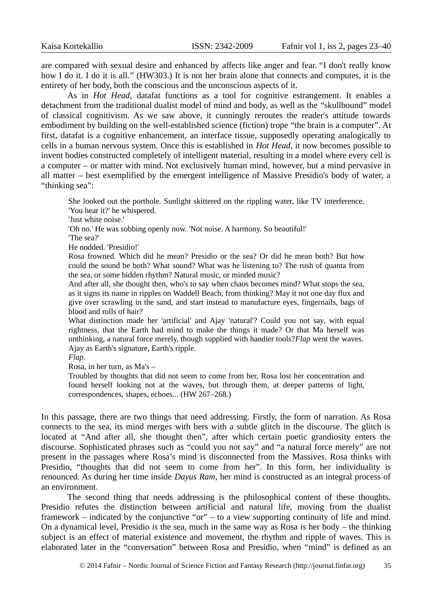are compared with sexual desire and enhanced by affects like anger and fear. "I don't really know how I do it. I do it is all." (HW303.) It is not her brain alone that connects and computes, it is the entirety of her body, both the conscious and the unconscious aspects of it.

As in *Hot Head,* datafat functions as a tool for cognitive estrangement. It enables a detachment from the traditional dualist model of mind and body, as well as the "skullbound" model of classical cognitivism. As we saw above, it cunningly reroutes the reader's attitude towards embodiment by building on the well-established science (fiction) trope "the brain is a computer". At first, datafat is a cognitive enhancement, an interface tissue, supposedly operating analogically to cells in a human nervous system. Once this is established in *Hot Head*, it now becomes possible to invent bodies constructed completely of intelligent material*,* resulting in a model where every cell is a computer – or matter with mind. Not exclusively human mind, however, but a mind pervasive in all matter – best exemplified by the emergent intelligence of Massive Presidio's body of water, a "thinking sea":

She looked out the porthole. Sunlight skittered on the rippling water, like TV interference. 'You hear it?' he whispered.

'Just white noise.'

'Oh no.' He was sobbing openly now. 'Not noise. A harmony. So beautiful!'

'The sea?'

He nodded. 'Presidio!'

Rosa frowned. Which did he mean? Presidio or the sea? Or did he mean both? But how could the sound be both? What sound? What was he listening to? The rush of quanta from the sea, or some hidden rhythm? Natural music, or minded music?

And after all, she thought then, who's to say when chaos becomes mind? What stops the sea, as it signs its name in ripples on Waddell Beach, from thinking? May it not one day flux and give over scrawling in the sand, and start instead to manufacture eyes, fingernails, bags of blood and rolls of hair?

What distinction made her 'artificial' and Ajay 'natural'? Could you not say, with equal rightness, that the Earth had mind to make the things it made? Or that Ma herself was unthinking, a natural force merely, though supplied with handier tools?*Flap* went the waves. Ajay as Earth's signature, Earth's ripple.

*Flap.*

Rosa, in her turn, as Ma's –

Troubled by thoughts that did not seem to come from her, Rosa lost her concentration and found herself looking not at the waves, but through them, at deeper patterns of light, correspondences, shapes, echoes... (HW 267–268.)

In this passage, there are two things that need addressing. Firstly, the form of narration. As Rosa connects to the sea, its mind merges with hers with a subtle glitch in the discourse. The glitch is located at "And after all, she thought then", after which certain poetic grandiosity enters the discourse. Sophisticated phrases such as "could you not say" and "a natural force merely" are not present in the passages where Rosa's mind is disconnected from the Massives. Rosa thinks with Presidio, "thoughts that did not seem to come from her". In this form, her individuality is renounced. As during her time inside *Dayus Ram*, her mind is constructed as an integral process of an environment.

The second thing that needs addressing is the philosophical content of these thoughts. Presidio refutes the distinction between artificial and natural life, moving from the dualist framework – indicated by the conjunctive "or" – to a view supporting continuity of life and mind. On a dynamical level, Presidio *is* the sea, much in the same way as Rosa *is* her body – the thinking subject is an effect of material existence and movement, the rhythm and ripple of waves. This is elaborated later in the "conversation" between Rosa and Presidio, when "mind" is defined as an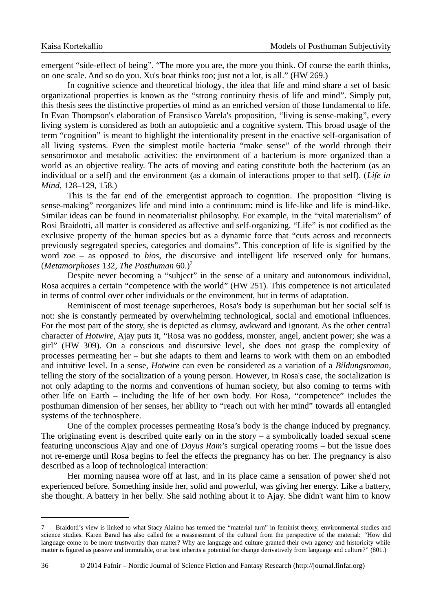emergent "side-effect of being". "The more you are, the more you think. Of course the earth thinks, on one scale. And so do you. Xu's boat thinks too; just not a lot, is all." (HW 269.)

In cognitive science and theoretical biology, the idea that life and mind share a set of basic organizational properties is known as the "strong continuity thesis of life and mind". Simply put, this thesis sees the distinctive properties of mind as an enriched version of those fundamental to life. In Evan Thompson's elaboration of Fransisco Varela's proposition, "living is sense-making", every living system is considered as both an autopoietic and a cognitive system. This broad usage of the term "cognition" is meant to highlight the intentionality present in the enactive self-organisation of all living systems. Even the simplest motile bacteria "make sense" of the world through their sensorimotor and metabolic activities: the environment of a bacterium is more organized than a world as an objective reality. The acts of moving and eating constitute both the bacterium (as an individual or a self) and the environment (as a domain of interactions proper to that self). (*Life in Mind,* 128–129, 158.)

This is the far end of the emergentist approach to cognition. The proposition "living is sense-making" reorganizes life and mind into a continuum: mind is life-like and life is mind-like. Similar ideas can be found in neomaterialist philosophy. For example, in the "vital materialism" of Rosi Braidotti, all matter is considered as affective and self-organizing. "Life" is not codified as the exclusive property of the human species but as a dynamic force that "cuts across and reconnects previously segregated species, categories and domains". This conception of life is signified by the word *zoe* – as opposed to *bios*, the discursive and intelligent life reserved only for humans. (*Metamorphoses* 132, *The Posthuman* 60.) [7](#page-13-0)

Despite never becoming a "subject" in the sense of a unitary and autonomous individual, Rosa acquires a certain "competence with the world" (HW 251). This competence is not articulated in terms of control over other individuals or the environment, but in terms of adaptation.

Reminiscent of most teenage superheroes, Rosa's body is superhuman but her social self is not: she is constantly permeated by overwhelming technological, social and emotional influences. For the most part of the story, she is depicted as clumsy, awkward and ignorant. As the other central character of *Hotwire*, Ajay puts it, "Rosa was no goddess, monster, angel, ancient power; she was a girl" (HW 309). On a conscious and discursive level, she does not grasp the complexity of processes permeating her – but she adapts to them and learns to work with them on an embodied and intuitive level. In a sense, *Hotwire* can even be considered as a variation of a *Bildungsroman*, telling the story of the socialization of a young person. However, in Rosa's case, the socialization is not only adapting to the norms and conventions of human society, but also coming to terms with other life on Earth – including the life of her own body. For Rosa, "competence" includes the posthuman dimension of her senses, her ability to "reach out with her mind" towards all entangled systems of the technosphere.

One of the complex processes permeating Rosa's body is the change induced by pregnancy. The originating event is described quite early on in the story  $-$  a symbolically loaded sexual scene featuring unconscious Ajay and one of *Dayus Ram*'s surgical operating rooms – but the issue does not re-emerge until Rosa begins to feel the effects the pregnancy has on her. The pregnancy is also described as a loop of technological interaction:

Her morning nausea wore off at last, and in its place came a sensation of power she'd not experienced before. Something inside her, solid and powerful, was giving her energy. Like a battery, she thought. A battery in her belly. She said nothing about it to Ajay. She didn't want him to know

<span id="page-13-0"></span><sup>7</sup> Braidotti's view is linked to what Stacy Alaimo has termed the "material turn" in feminist theory, environmental studies and science studies. Karen Barad has also called for a reassessment of the cultural from the perspective of the material: "How did language come to be more trustworthy than matter? Why are language and culture granted their own agency and historicity while matter is figured as passive and immutable, or at best inherits a potential for change derivatively from language and culture?" (801.)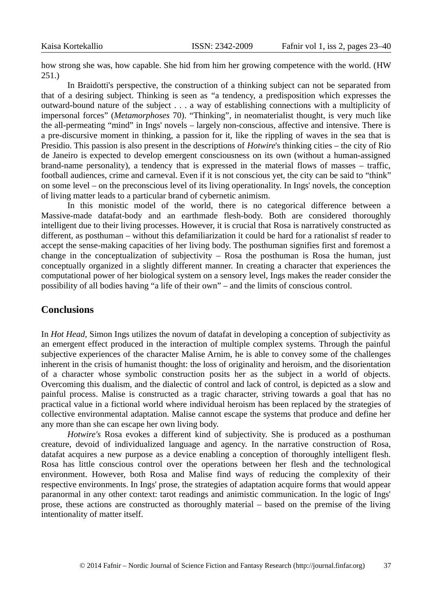how strong she was, how capable. She hid from him her growing competence with the world. (HW 251.)

In Braidotti's perspective, the construction of a thinking subject can not be separated from that of a desiring subject. Thinking is seen as "a tendency, a predisposition which expresses the outward-bound nature of the subject . . . a way of establishing connections with a multiplicity of impersonal forces" (*Metamorphoses* 70). "Thinking", in neomaterialist thought, is very much like the all-permeating "mind" in Ings' novels – largely non-conscious, affective and intensive. There is a pre-discursive moment in thinking, a passion for it, like the rippling of waves in the sea that is Presidio. This passion is also present in the descriptions of *Hotwire*'s thinking cities – the city of Rio de Janeiro is expected to develop emergent consciousness on its own (without a human-assigned brand-name personality), a tendency that is expressed in the material flows of masses – traffic, football audiences, crime and carneval. Even if it is not conscious yet, the city can be said to "think" on some level – on the preconscious level of its living operationality. In Ings' novels, the conception of living matter leads to a particular brand of cybernetic animism.

In this monistic model of the world, there is no categorical difference between a Massive-made datafat-body and an earthmade flesh-body. Both are considered thoroughly intelligent due to their living processes. However, it is crucial that Rosa is narratively constructed as different, as posthuman – without this defamiliarization it could be hard for a rationalist sf reader to accept the sense-making capacities of her living body. The posthuman signifies first and foremost a change in the conceptualization of subjectivity  $-$  Rosa the posthuman is Rosa the human, just conceptually organized in a slightly different manner. In creating a character that experiences the computational power of her biological system on a sensory level, Ings makes the reader consider the possibility of all bodies having "a life of their own" – and the limits of conscious control.

#### **Conclusions**

In *Hot Head*, Simon Ings utilizes the novum of datafat in developing a conception of subjectivity as an emergent effect produced in the interaction of multiple complex systems. Through the painful subjective experiences of the character Malise Arnim, he is able to convey some of the challenges inherent in the crisis of humanist thought: the loss of originality and heroism, and the disorientation of a character whose symbolic construction posits her as the subject in a world of objects. Overcoming this dualism, and the dialectic of control and lack of control, is depicted as a slow and painful process. Malise is constructed as a tragic character, striving towards a goal that has no practical value in a fictional world where individual heroism has been replaced by the strategies of collective environmental adaptation. Malise cannot escape the systems that produce and define her any more than she can escape her own living body.

*Hotwire's* Rosa evokes a different kind of subjectivity. She is produced as a posthuman creature, devoid of individualized language and agency. In the narrative construction of Rosa, datafat acquires a new purpose as a device enabling a conception of thoroughly intelligent flesh. Rosa has little conscious control over the operations between her flesh and the technological environment. However, both Rosa and Malise find ways of reducing the complexity of their respective environments. In Ings' prose, the strategies of adaptation acquire forms that would appear paranormal in any other context: tarot readings and animistic communication. In the logic of Ings' prose, these actions are constructed as thoroughly material – based on the premise of the living intentionality of matter itself.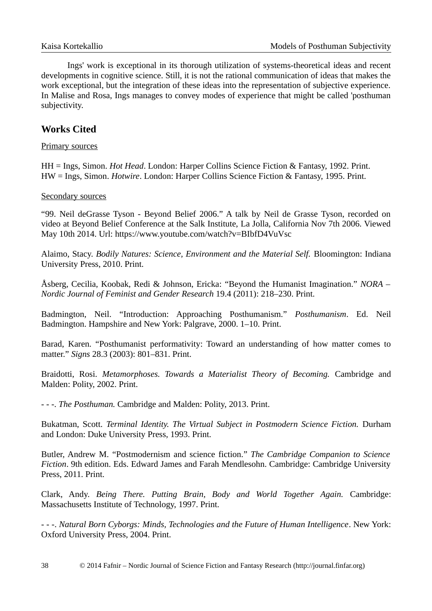Ings' work is exceptional in its thorough utilization of systems-theoretical ideas and recent developments in cognitive science. Still, it is not the rational communication of ideas that makes the work exceptional, but the integration of these ideas into the representation of subjective experience. In Malise and Rosa, Ings manages to convey modes of experience that might be called 'posthuman subjectivity.

## **Works Cited**

#### Primary sources

HH = Ings, Simon. *Hot Head*. London: Harper Collins Science Fiction & Fantasy, 1992. Print. HW = Ings, Simon. *Hotwire*. London: Harper Collins Science Fiction & Fantasy, 1995. Print.

#### Secondary sources

"99. Neil deGrasse Tyson - Beyond Belief 2006." A talk by Neil de Grasse Tyson, recorded on video at Beyond Belief Conference at the Salk Institute, La Jolla, California Nov 7th 2006. Viewed May 10th 2014. Url: https://www.youtube.com/watch?v=BIbfD4VuVsc

Alaimo, Stacy. *Bodily Natures: Science, Environment and the Material Self.* Bloomington: Indiana University Press, 2010. Print.

Åsberg, Cecilia, Koobak, Redi & Johnson, Ericka: "Beyond the Humanist Imagination." *NORA – Nordic Journal of Feminist and Gender Research* 19.4 (2011): 218–230. Print.

Badmington, Neil. "Introduction: Approaching Posthumanism." *Posthumanism*. Ed. Neil Badmington. Hampshire and New York: Palgrave, 2000. 1–10. Print.

Barad, Karen. "Posthumanist performativity: Toward an understanding of how matter comes to matter." *Signs* 28.3 (2003): 801–831. Print.

Braidotti, Rosi. *Metamorphoses. Towards a Materialist Theory of Becoming.* Cambridge and Malden: Polity, 2002. Print.

- - -. *The Posthuman.* Cambridge and Malden: Polity, 2013. Print.

Bukatman, Scott. *Terminal Identity. The Virtual Subject in Postmodern Science Fiction.* Durham and London: Duke University Press, 1993. Print.

Butler, Andrew M. "Postmodernism and science fiction." *The Cambridge Companion to Science Fiction*. 9th edition. Eds. Edward James and Farah Mendlesohn. Cambridge: Cambridge University Press, 2011. Print.

Clark, Andy. *Being There. Putting Brain, Body and World Together Again.* Cambridge: Massachusetts Institute of Technology, 1997. Print.

- - -. *Natural Born Cyborgs: Minds, Technologies and the Future of Human Intelligence*. New York: Oxford University Press, 2004. Print.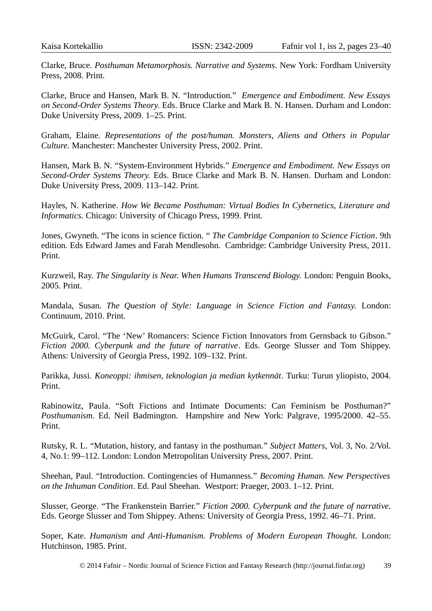Clarke, Bruce. *Posthuman Metamorphosis. Narrative and Systems*. New York: Fordham University Press, 2008. Print.

Clarke, Bruce and Hansen, Mark B. N. "Introduction." *Emergence and Embodiment. New Essays on Second-Order Systems Theory.* Eds. Bruce Clarke and Mark B. N. Hansen. Durham and London: Duke University Press, 2009. 1–25. Print.

Graham, Elaine. *Representations of the post/human. Monsters, Aliens and Others in Popular Culture.* Manchester: Manchester University Press, 2002. Print.

Hansen, Mark B. N. "System-Environment Hybrids." *Emergence and Embodiment. New Essays on Second-Order Systems Theory.* Eds. Bruce Clarke and Mark B. N. Hansen*.* Durham and London: Duke University Press, 2009. 113–142. Print.

Hayles, N. Katherine. *How We Became Posthuman: Virtual Bodies In Cybernetics, Literature and Informatics.* Chicago: University of Chicago Press, 1999. Print.

Jones, Gwyneth. "The icons in science fiction. " *The Cambridge Companion to Science Fiction*. 9th edition. Eds Edward James and Farah Mendlesohn. Cambridge: Cambridge University Press, 2011. Print.

Kurzweil, Ray. *The Singularity is Near. When Humans Transcend Biology.* London: Penguin Books, 2005. Print.

Mandala, Susan. *The Question of Style: Language in Science Fiction and Fantasy.* London: Continuum, 2010. Print.

McGuirk, Carol. "The 'New' Romancers: Science Fiction Innovators from Gernsback to Gibson." *Fiction 2000. Cyberpunk and the future of narrative*. Eds. George Slusser and Tom Shippey. Athens: University of Georgia Press, 1992. 109–132. Print.

Parikka, Jussi. *Koneoppi: ihmisen, teknologian ja median kytkennät*. Turku: Turun yliopisto, 2004. Print.

Rabinowitz, Paula. "Soft Fictions and Intimate Documents: Can Feminism be Posthuman?" *Posthumanism*. Ed. Neil Badmington. Hampshire and New York: Palgrave, 1995/2000. 42–55. Print.

Rutsky, R. L. "Mutation, history, and fantasy in the posthuman." *Subject Matters*, Vol. 3, No. 2/Vol. 4, No.1: 99–112. London: London Metropolitan University Press, 2007. Print.

Sheehan, Paul. "Introduction. Contingencies of Humanness." *Becoming Human. New Perspectives on the Inhuman Condition*. Ed. Paul Sheehan. Westport: Praeger, 2003. 1–12. Print.

Slusser, George. "The Frankenstein Barrier." *Fiction 2000. Cyberpunk and the future of narrative.* Eds. George Slusser and Tom Shippey. Athens: University of Georgia Press, 1992. 46–71. Print.

Soper, Kate. *Humanism and Anti-Humanism. Problems of Modern European Thought.* London: Hutchinson, 1985. Print.